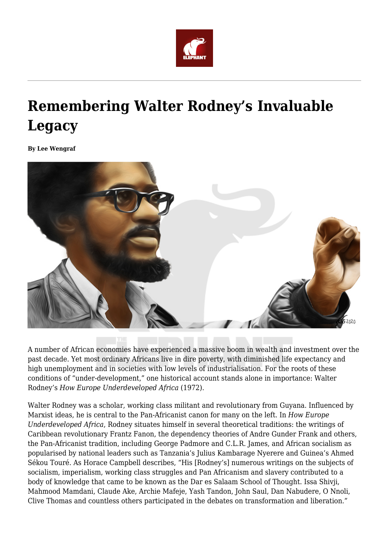

# **Remembering Walter Rodney's Invaluable Legacy**

**By Lee Wengraf**



A number of African economies have experienced a massive boom in wealth and investment over the past decade. Yet most ordinary Africans live in dire poverty, with diminished life expectancy and high unemployment and in societies with low levels of industrialisation. For the roots of these conditions of "under-development," one historical account stands alone in importance: Walter Rodney's *How Europe Underdeveloped Africa* (1972).

Walter Rodney was a scholar, working class militant and revolutionary from Guyana. Influenced by Marxist ideas, he is central to the Pan-Africanist canon for many on the left. In *How Europe Underdeveloped Africa*, Rodney situates himself in several theoretical traditions: the writings of Caribbean revolutionary Frantz Fanon, the dependency theories of Andre Gunder Frank and others, the Pan-Africanist tradition, including George Padmore and C.L.R. James, and African socialism as popularised by national leaders such as Tanzania's Julius Kambarage Nyerere and Guinea's Ahmed Sékou Touré. As Horace Campbell describes, "His [Rodney's] numerous writings on the subjects of socialism, imperialism, working class struggles and Pan Africanism and slavery contributed to a body of knowledge that came to be known as the Dar es Salaam School of Thought. Issa Shivji, Mahmood Mamdani, Claude Ake, Archie Mafeje, Yash Tandon, John Saul, Dan Nabudere, O Nnoli, Clive Thomas and countless others participated in the debates on transformation and liberation."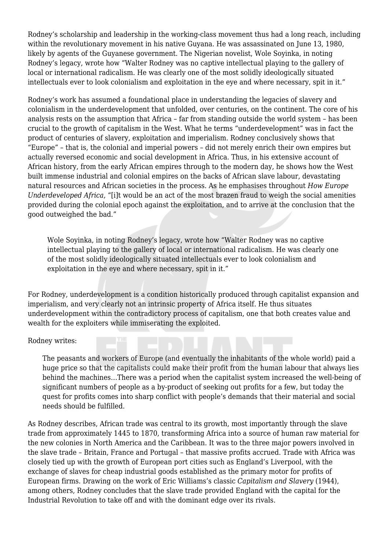Rodney's scholarship and leadership in the working-class movement thus had a long reach, including within the revolutionary movement in his native Guyana. He was assassinated on June 13, 1980, likely by agents of the Guyanese government. The Nigerian novelist, Wole Soyinka, in noting Rodney's legacy, wrote how "Walter Rodney was no captive intellectual playing to the gallery of local or international radicalism. He was clearly one of the most solidly ideologically situated intellectuals ever to look colonialism and exploitation in the eye and where necessary, spit in it."

Rodney's work has assumed a foundational place in understanding the legacies of slavery and colonialism in the underdevelopment that unfolded, over centuries, on the continent. The core of his analysis rests on the assumption that Africa – far from standing outside the world system – has been crucial to the growth of capitalism in the West. What he terms "underdevelopment" was in fact the product of centuries of slavery, exploitation and imperialism. Rodney conclusively shows that "Europe" – that is, the colonial and imperial powers – did not merely enrich their own empires but actually reversed economic and social development in Africa. Thus, in his extensive account of African history, from the early African empires through to the modern day, he shows how the West built immense industrial and colonial empires on the backs of African slave labour, devastating natural resources and African societies in the process. As he emphasises throughout *How Europe Underdeveloped Africa*, "[i]t would be an act of the most brazen fraud to weigh the social amenities provided during the colonial epoch against the exploitation, and to arrive at the conclusion that the good outweighed the bad."

Wole Soyinka, in noting Rodney's legacy, wrote how "Walter Rodney was no captive intellectual playing to the gallery of local or international radicalism. He was clearly one of the most solidly ideologically situated intellectuals ever to look colonialism and exploitation in the eye and where necessary, spit in it."

For Rodney, underdevelopment is a condition historically produced through capitalist expansion and imperialism, and very clearly not an intrinsic property of Africa itself. He thus situates underdevelopment within the contradictory process of capitalism, one that both creates value and wealth for the exploiters while immiserating the exploited.

#### Rodney writes:

The peasants and workers of Europe (and eventually the inhabitants of the whole world) paid a huge price so that the capitalists could make their profit from the human labour that always lies behind the machines…There was a period when the capitalist system increased the well-being of significant numbers of people as a by-product of seeking out profits for a few, but today the quest for profits comes into sharp conflict with people's demands that their material and social needs should be fulfilled.

As Rodney describes, African trade was central to its growth, most importantly through the slave trade from approximately 1445 to 1870, transforming Africa into a source of human raw material for the new colonies in North America and the Caribbean. It was to the three major powers involved in the slave trade – Britain, France and Portugal – that massive profits accrued. Trade with Africa was closely tied up with the growth of European port cities such as England's Liverpool, with the exchange of slaves for cheap industrial goods established as the primary motor for profits of European firms. Drawing on the work of Eric Williams's classic *Capitalism and Slavery* (1944), among others, Rodney concludes that the slave trade provided England with the capital for the Industrial Revolution to take off and with the dominant edge over its rivals.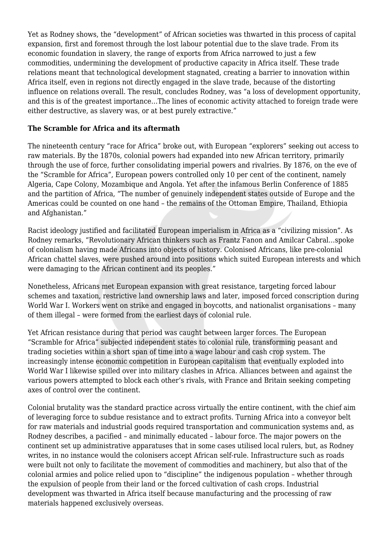Yet as Rodney shows, the "development" of African societies was thwarted in this process of capital expansion, first and foremost through the lost labour potential due to the slave trade. From its economic foundation in slavery, the range of exports from Africa narrowed to just a few commodities, undermining the development of productive capacity in Africa itself. These trade relations meant that technological development stagnated, creating a barrier to innovation within Africa itself, even in regions not directly engaged in the slave trade, because of the distorting influence on relations overall. The result, concludes Rodney, was "a loss of development opportunity, and this is of the greatest importance…The lines of economic activity attached to foreign trade were either destructive, as slavery was, or at best purely extractive."

## **The Scramble for Africa and its aftermath**

The nineteenth century "race for Africa" broke out, with European "explorers" seeking out access to raw materials. By the 1870s, colonial powers had expanded into new African territory, primarily through the use of force, further consolidating imperial powers and rivalries. By 1876, on the eve of the "Scramble for Africa", European powers controlled only 10 per cent of the continent, namely Algeria, Cape Colony, Mozambique and Angola. Yet after the infamous Berlin Conference of 1885 and the partition of Africa, "The number of genuinely independent states outside of Europe and the Americas could be counted on one hand – the remains of the Ottoman Empire, Thailand, Ethiopia and Afghanistan."

Racist ideology justified and facilitated European imperialism in Africa as a "civilizing mission". As Rodney remarks, "Revolutionary African thinkers such as Frantz Fanon and Amilcar Cabral…spoke of colonialism having made Africans into objects of history. Colonised Africans, like pre-colonial African chattel slaves, were pushed around into positions which suited European interests and which were damaging to the African continent and its peoples."

Nonetheless, Africans met European expansion with great resistance, targeting forced labour schemes and taxation, restrictive land ownership laws and later, imposed forced conscription during World War I. Workers went on strike and engaged in boycotts, and nationalist organisations - many of them illegal – were formed from the earliest days of colonial rule.

Yet African resistance during that period was caught between larger forces. The European "Scramble for Africa" subjected independent states to colonial rule, transforming peasant and trading societies within a short span of time into a wage labour and cash crop system. The increasingly intense economic competition in European capitalism that eventually exploded into World War I likewise spilled over into military clashes in Africa. Alliances between and against the various powers attempted to block each other's rivals, with France and Britain seeking competing axes of control over the continent.

Colonial brutality was the standard practice across virtually the entire continent, with the chief aim of leveraging force to subdue resistance and to extract profits. Turning Africa into a conveyor belt for raw materials and industrial goods required transportation and communication systems and, as Rodney describes, a pacified – and minimally educated – labour force. The major powers on the continent set up administrative apparatuses that in some cases utilised local rulers, but, as Rodney writes, in no instance would the colonisers accept African self-rule. Infrastructure such as roads were built not only to facilitate the movement of commodities and machinery, but also that of the colonial armies and police relied upon to "discipline" the indigenous population – whether through the expulsion of people from their land or the forced cultivation of cash crops. Industrial development was thwarted in Africa itself because manufacturing and the processing of raw materials happened exclusively overseas.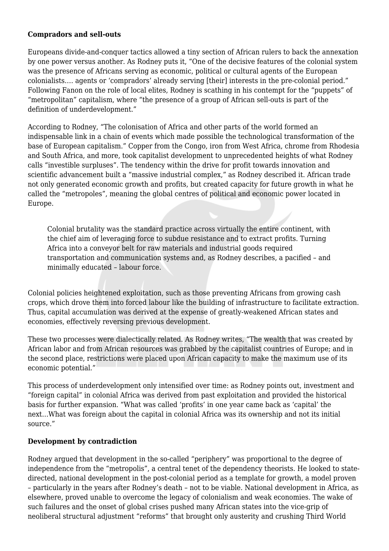### **Compradors and sell-outs**

Europeans divide-and-conquer tactics allowed a tiny section of African rulers to back the annexation by one power versus another. As Rodney puts it, "One of the decisive features of the colonial system was the presence of Africans serving as economic, political or cultural agents of the European colonialists…. agents or 'compradors' already serving [their] interests in the pre-colonial period." Following Fanon on the role of local elites, Rodney is scathing in his contempt for the "puppets" of "metropolitan" capitalism, where "the presence of a group of African sell-outs is part of the definition of underdevelopment."

According to Rodney, "The colonisation of Africa and other parts of the world formed an indispensable link in a chain of events which made possible the technological transformation of the base of European capitalism." Copper from the Congo, iron from West Africa, chrome from Rhodesia and South Africa, and more, took capitalist development to unprecedented heights of what Rodney calls "investible surpluses". The tendency within the drive for profit towards innovation and scientific advancement built a "massive industrial complex," as Rodney described it. African trade not only generated economic growth and profits, but created capacity for future growth in what he called the "metropoles", meaning the global centres of political and economic power located in Europe.

Colonial brutality was the standard practice across virtually the entire continent, with the chief aim of leveraging force to subdue resistance and to extract profits. Turning Africa into a conveyor belt for raw materials and industrial goods required transportation and communication systems and, as Rodney describes, a pacified – and minimally educated – labour force.

Colonial policies heightened exploitation, such as those preventing Africans from growing cash crops, which drove them into forced labour like the building of infrastructure to facilitate extraction. Thus, capital accumulation was derived at the expense of greatly-weakened African states and economies, effectively reversing previous development.

These two processes were dialectically related. As Rodney writes, "The wealth that was created by African labor and from African resources was grabbed by the capitalist countries of Europe; and in the second place, restrictions were placed upon African capacity to make the maximum use of its economic potential."

This process of underdevelopment only intensified over time: as Rodney points out, investment and "foreign capital" in colonial Africa was derived from past exploitation and provided the historical basis for further expansion. "What was called 'profits' in one year came back as 'capital' the next…What was foreign about the capital in colonial Africa was its ownership and not its initial source."

## **Development by contradiction**

Rodney argued that development in the so-called "periphery" was proportional to the degree of independence from the "metropolis", a central tenet of the dependency theorists. He looked to statedirected, national development in the post-colonial period as a template for growth, a model proven – particularly in the years after Rodney's death – not to be viable. National development in Africa, as elsewhere, proved unable to overcome the legacy of colonialism and weak economies. The wake of such failures and the onset of global crises pushed many African states into the vice-grip of neoliberal structural adjustment "reforms" that brought only austerity and crushing Third World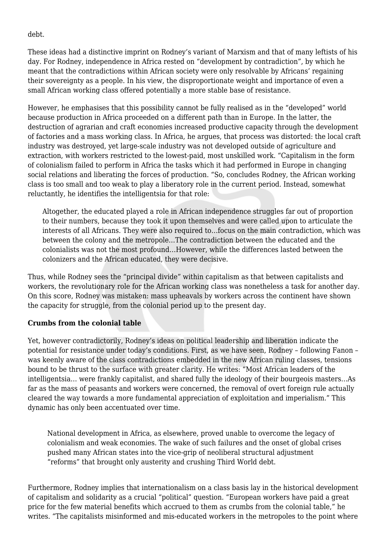debt.

These ideas had a distinctive imprint on Rodney's variant of Marxism and that of many leftists of his day. For Rodney, independence in Africa rested on "development by contradiction", by which he meant that the contradictions within African society were only resolvable by Africans' regaining their sovereignty as a people. In his view, the disproportionate weight and importance of even a small African working class offered potentially a more stable base of resistance.

However, he emphasises that this possibility cannot be fully realised as in the "developed" world because production in Africa proceeded on a different path than in Europe. In the latter, the destruction of agrarian and craft economies increased productive capacity through the development of factories and a mass working class. In Africa, he argues, that process was distorted: the local craft industry was destroyed, yet large-scale industry was not developed outside of agriculture and extraction, with workers restricted to the lowest-paid, most unskilled work. "Capitalism in the form of colonialism failed to perform in Africa the tasks which it had performed in Europe in changing social relations and liberating the forces of production. "So, concludes Rodney, the African working class is too small and too weak to play a liberatory role in the current period. Instead, somewhat reluctantly, he identifies the intelligentsia for that role:

Altogether, the educated played a role in African independence struggles far out of proportion to their numbers, because they took it upon themselves and were called upon to articulate the interests of all Africans. They were also required to…focus on the main contradiction, which was between the colony and the metropole…The contradiction between the educated and the colonialists was not the most profound…However, while the differences lasted between the colonizers and the African educated, they were decisive.

Thus, while Rodney sees the "principal divide" within capitalism as that between capitalists and workers, the revolutionary role for the African working class was nonetheless a task for another day. On this score, Rodney was mistaken: mass upheavals by workers across the continent have shown the capacity for struggle, from the colonial period up to the present day.

## **Crumbs from the colonial table**

Yet, however contradictorily, Rodney's ideas on political leadership and liberation indicate the potential for resistance under today's conditions. First, as we have seen, Rodney – following Fanon – was keenly aware of the class contradictions embedded in the new African ruling classes, tensions bound to be thrust to the surface with greater clarity. He writes: "Most African leaders of the intelligentsia… were frankly capitalist, and shared fully the ideology of their bourgeois masters…As far as the mass of peasants and workers were concerned, the removal of overt foreign rule actually cleared the way towards a more fundamental appreciation of exploitation and imperialism." This dynamic has only been accentuated over time.

National development in Africa, as elsewhere, proved unable to overcome the legacy of colonialism and weak economies. The wake of such failures and the onset of global crises pushed many African states into the vice-grip of neoliberal structural adjustment "reforms" that brought only austerity and crushing Third World debt.

Furthermore, Rodney implies that internationalism on a class basis lay in the historical development of capitalism and solidarity as a crucial "political" question. "European workers have paid a great price for the few material benefits which accrued to them as crumbs from the colonial table," he writes. "The capitalists misinformed and mis-educated workers in the metropoles to the point where